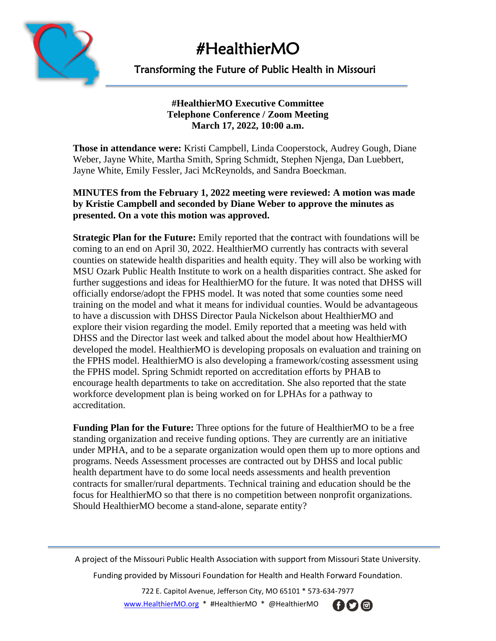# #HealthierMO



## Transforming the Future of Public Health in Missouri

### **#HealthierMO Executive Committee Telephone Conference / Zoom Meeting March 17, 2022, 10:00 a.m.**

f

**Those in attendance were:** Kristi Campbell, Linda Cooperstock, Audrey Gough, Diane Weber, Jayne White, Martha Smith, Spring Schmidt, Stephen Njenga, Dan Luebbert, Jayne White, Emily Fessler, Jaci McReynolds, and Sandra Boeckman.

## **MINUTES from the February 1, 2022 meeting were reviewed: A motion was made by Kristie Campbell and seconded by Diane Weber to approve the minutes as presented. On a vote this motion was approved.**

**Strategic Plan for the Future:** Emily reported that the **c**ontract with foundations will be coming to an end on April 30, 2022. HealthierMO currently has contracts with several counties on statewide health disparities and health equity. They will also be working with MSU Ozark Public Health Institute to work on a health disparities contract. She asked for further suggestions and ideas for HealthierMO for the future. It was noted that DHSS will officially endorse/adopt the FPHS model. It was noted that some counties some need training on the model and what it means for individual counties. Would be advantageous to have a discussion with DHSS Director Paula Nickelson about HealthierMO and explore their vision regarding the model. Emily reported that a meeting was held with DHSS and the Director last week and talked about the model about how HealthierMO developed the model. HealthierMO is developing proposals on evaluation and training on the FPHS model. HealthierMO is also developing a framework/costing assessment using the FPHS model. Spring Schmidt reported on accreditation efforts by PHAB to encourage health departments to take on accreditation. She also reported that the state workforce development plan is being worked on for LPHAs for a pathway to accreditation.

**Funding Plan for the Future:** Three options for the future of HealthierMO to be a free standing organization and receive funding options. They are currently are an initiative under MPHA, and to be a separate organization would open them up to more options and programs. Needs Assessment processes are contracted out by DHSS and local public health department have to do some local needs assessments and health prevention contracts for smaller/rural departments. Technical training and education should be the focus for HealthierMO so that there is no competition between nonprofit organizations. Should HealthierMO become a stand-alone, separate entity?

A project of the Missouri Public Health Association with support from Missouri State University.

Funding provided by Missouri Foundation for Health and Health Forward Foundation.

722 E. Capitol Avenue, Jefferson City, MO 65101 \* 573-634-7977

[www.HealthierMO.org](http://www.healthiermo.org/) \* #HealthierMO \* @HealthierMO